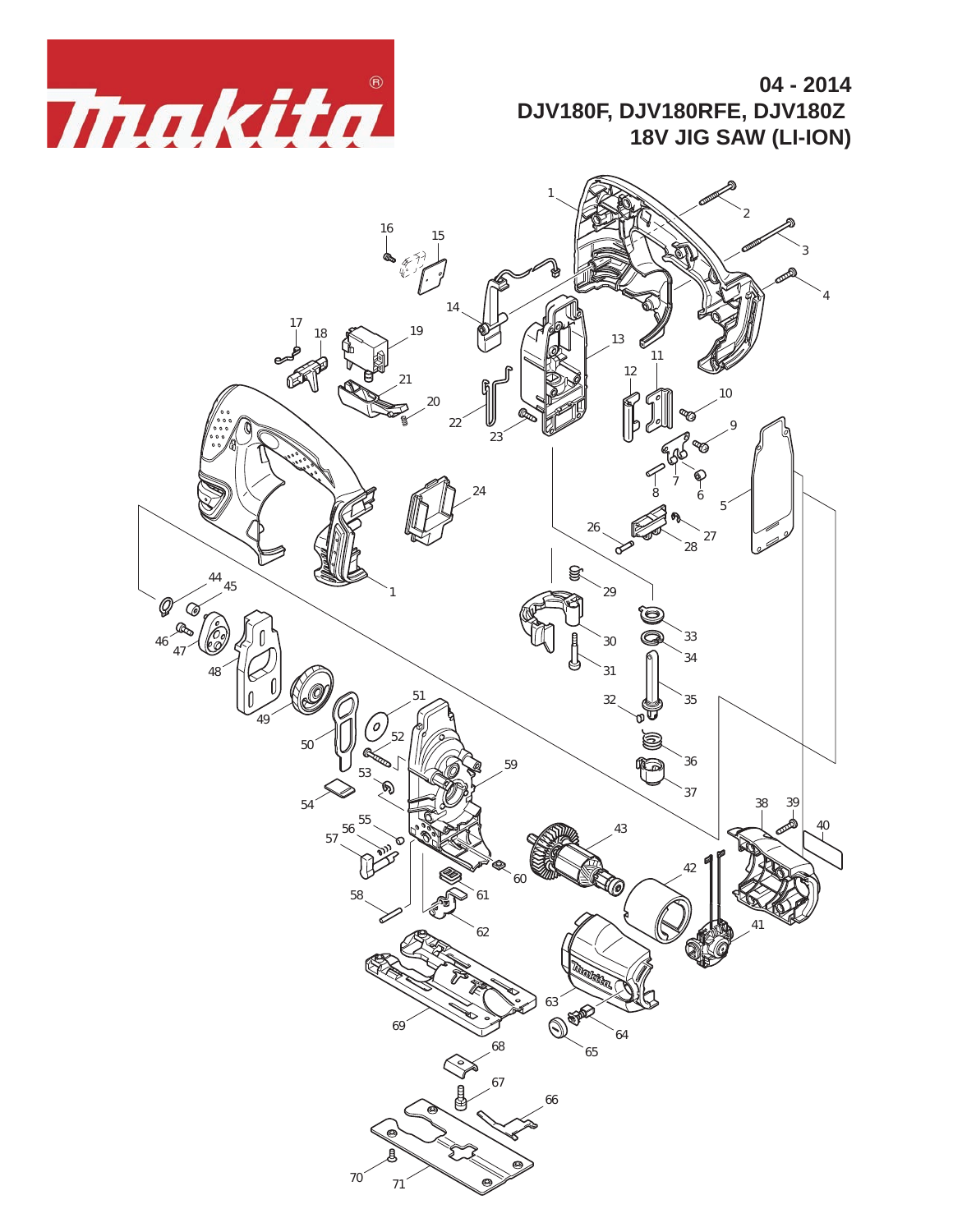

**04 - 2014 DJV180F, DJV180RFE, DJV180Z 18V JIG SAW (LI-ION)**

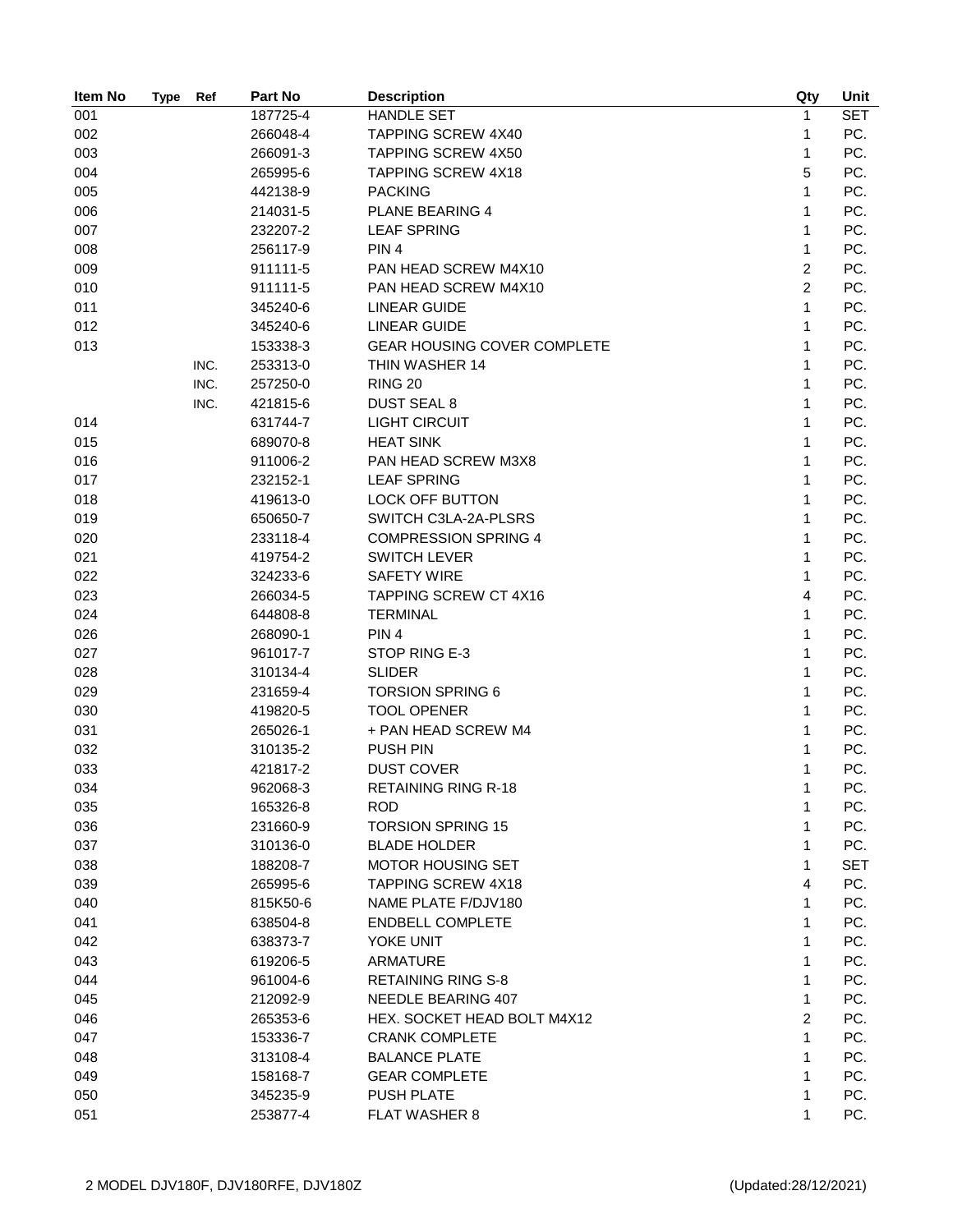| Item No | <b>Type</b> | Ref  | Part No  | <b>Description</b>                 | Qty            | Unit       |
|---------|-------------|------|----------|------------------------------------|----------------|------------|
| 001     |             |      | 187725-4 | <b>HANDLE SET</b>                  | 1              | <b>SET</b> |
| 002     |             |      | 266048-4 | TAPPING SCREW 4X40                 | 1              | PC.        |
| 003     |             |      | 266091-3 | <b>TAPPING SCREW 4X50</b>          | $\mathbf{1}$   | PC.        |
| 004     |             |      | 265995-6 | <b>TAPPING SCREW 4X18</b>          | 5              | PC.        |
| 005     |             |      | 442138-9 | <b>PACKING</b>                     | 1              | PC.        |
| 006     |             |      | 214031-5 | <b>PLANE BEARING 4</b>             | 1              | PC.        |
| 007     |             |      | 232207-2 | <b>LEAF SPRING</b>                 | 1              | PC.        |
| 008     |             |      | 256117-9 | PIN <sub>4</sub>                   | 1              | PC.        |
| 009     |             |      | 911111-5 | PAN HEAD SCREW M4X10               | 2              | PC.        |
| 010     |             |      | 911111-5 | PAN HEAD SCREW M4X10               | $\overline{2}$ | PC.        |
| 011     |             |      | 345240-6 | <b>LINEAR GUIDE</b>                | 1              | PC.        |
| 012     |             |      | 345240-6 | <b>LINEAR GUIDE</b>                | 1              | PC.        |
| 013     |             |      | 153338-3 | <b>GEAR HOUSING COVER COMPLETE</b> | 1              | PC.        |
|         |             | INC. | 253313-0 | THIN WASHER 14                     | 1              | PC.        |
|         |             | INC. | 257250-0 | <b>RING 20</b>                     | 1              | PC.        |
|         |             | INC. | 421815-6 | <b>DUST SEAL 8</b>                 | 1              | PC.        |
| 014     |             |      | 631744-7 | <b>LIGHT CIRCUIT</b>               | 1              | PC.        |
| 015     |             |      | 689070-8 | <b>HEAT SINK</b>                   | 1              | PC.        |
| 016     |             |      | 911006-2 | PAN HEAD SCREW M3X8                | 1              | PC.        |
| 017     |             |      | 232152-1 | <b>LEAF SPRING</b>                 | 1              | PC.        |
| 018     |             |      | 419613-0 | <b>LOCK OFF BUTTON</b>             | 1              | PC.        |
| 019     |             |      | 650650-7 | SWITCH C3LA-2A-PLSRS               | 1              | PC.        |
| 020     |             |      | 233118-4 | <b>COMPRESSION SPRING 4</b>        | 1              | PC.        |
| 021     |             |      | 419754-2 | <b>SWITCH LEVER</b>                | 1              | PC.        |
| 022     |             |      | 324233-6 | <b>SAFETY WIRE</b>                 | 1              | PC.        |
| 023     |             |      | 266034-5 | <b>TAPPING SCREW CT 4X16</b>       | 4              | PC.        |
| 024     |             |      | 644808-8 | <b>TERMINAL</b>                    | 1              | PC.        |
| 026     |             |      | 268090-1 | PIN <sub>4</sub>                   | 1              | PC.        |
| 027     |             |      | 961017-7 | STOP RING E-3                      | 1              | PC.        |
| 028     |             |      | 310134-4 | <b>SLIDER</b>                      | 1              | PC.        |
| 029     |             |      | 231659-4 | <b>TORSION SPRING 6</b>            | 1              | PC.        |
| 030     |             |      | 419820-5 | <b>TOOL OPENER</b>                 | 1              | PC.        |
| 031     |             |      | 265026-1 | + PAN HEAD SCREW M4                | 1              | PC.        |
| 032     |             |      | 310135-2 | <b>PUSH PIN</b>                    | 1              | PC.        |
| 033     |             |      | 421817-2 | <b>DUST COVER</b>                  | 1              | PC.        |
| 034     |             |      | 962068-3 | <b>RETAINING RING R-18</b>         | 1              | PC.        |
| 035     |             |      | 165326-8 | <b>ROD</b>                         | 1              | PC.        |
| 036     |             |      | 231660-9 | <b>TORSION SPRING 15</b>           | 1              | PC.        |
| 037     |             |      | 310136-0 | <b>BLADE HOLDER</b>                | 1              | PC.        |
| 038     |             |      | 188208-7 | <b>MOTOR HOUSING SET</b>           | 1              | <b>SET</b> |
| 039     |             |      | 265995-6 | <b>TAPPING SCREW 4X18</b>          | 4              | PC.        |
| 040     |             |      | 815K50-6 | NAME PLATE F/DJV180                | 1              | PC.        |
| 041     |             |      | 638504-8 | <b>ENDBELL COMPLETE</b>            | 1              | PC.        |
| 042     |             |      | 638373-7 | YOKE UNIT                          | 1              | PC.        |
| 043     |             |      | 619206-5 | <b>ARMATURE</b>                    | 1              | PC.        |
| 044     |             |      | 961004-6 | <b>RETAINING RING S-8</b>          | 1              | PC.        |
| 045     |             |      | 212092-9 | NEEDLE BEARING 407                 | 1              | PC.        |
| 046     |             |      | 265353-6 | HEX. SOCKET HEAD BOLT M4X12        | 2              | PC.        |
| 047     |             |      | 153336-7 | <b>CRANK COMPLETE</b>              | 1              | PC.        |
| 048     |             |      | 313108-4 | <b>BALANCE PLATE</b>               | 1              | PC.        |
| 049     |             |      | 158168-7 | <b>GEAR COMPLETE</b>               | 1              | PC.        |
| 050     |             |      | 345235-9 | <b>PUSH PLATE</b>                  | 1              | PC.        |
| 051     |             |      | 253877-4 | <b>FLAT WASHER 8</b>               | 1              | PC.        |